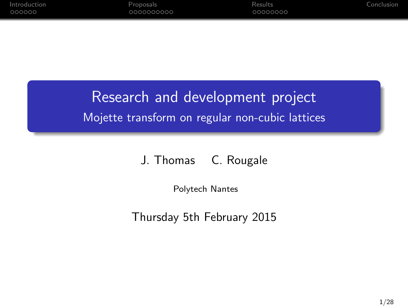# Research and development project Mojette transform on regular non-cubic lattices

#### J. Thomas C. Rougale

Polytech Nantes

Thursday 5th February 2015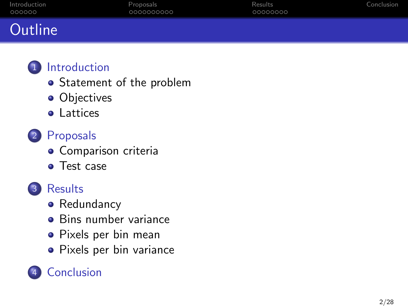| Introduction | <b>Proposals</b> | Results  | Conclusion |
|--------------|------------------|----------|------------|
| 000000       | 0000000000       | 00000000 |            |
| Outline      |                  |          |            |

- **•** [Statement of the problem](#page-2-0)
- **•** [Objectives](#page-4-0)
- **•** [Lattices](#page-6-0)
- 2 [Proposals](#page-8-0)
	- **·** [Comparison criteria](#page-8-0)
	- [Test case](#page-13-0)



- [Redundancy](#page-18-0)
- [Bins number variance](#page-20-0)
- [Pixels per bin mean](#page-22-0)
- **•** [Pixels per bin variance](#page-24-0)

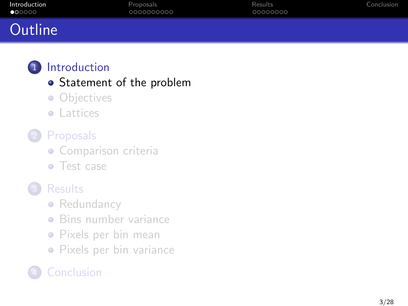<span id="page-2-0"></span>

| Introduction    | Proposals  | Results  | Conclusion |
|-----------------|------------|----------|------------|
| $\bullet$ 00000 | 0000000000 | 00000000 |            |
| Outline         |            |          |            |

# **•** [Statement of the problem](#page-2-0)

- [Objectives](#page-4-0)
- **•** [Lattices](#page-6-0)

# **[Proposals](#page-8-0)**

- **·** [Comparison criteria](#page-8-0)
- [Test case](#page-13-0)
- **[Results](#page-18-0)** 
	- [Redundancy](#page-18-0)
	- [Bins number variance](#page-20-0)
	- [Pixels per bin mean](#page-22-0)
	- [Pixels per bin variance](#page-24-0)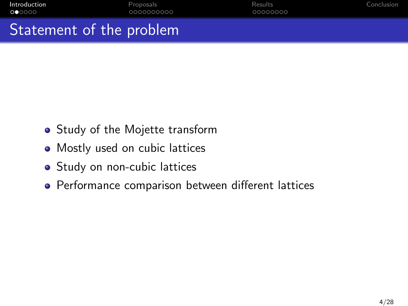| . Charles and and the model and |            |          |            |
|---------------------------------|------------|----------|------------|
| 000000                          | 0000000000 | 00000000 |            |
| Introduction                    | Proposals  | Results  | Conclusion |

Statement of the problem

- Study of the Mojette transform
- Mostly used on cubic lattices
- Study on non-cubic lattices
- Performance comparison between different lattices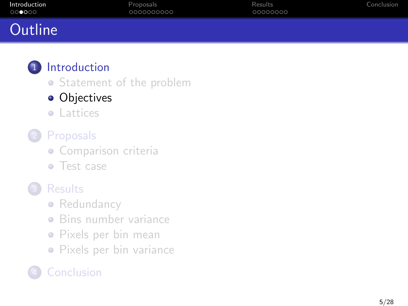<span id="page-4-0"></span>

| Introduction | Proposals  | Results  | Conclusion |
|--------------|------------|----------|------------|
| 000000       | 0000000000 | 00000000 |            |
| Outline      |            |          |            |

• [Statement of the problem](#page-2-0)

### **•** [Objectives](#page-4-0)

**•** [Lattices](#page-6-0)

# **[Proposals](#page-8-0)**

- **·** [Comparison criteria](#page-8-0)
- [Test case](#page-13-0)

# **[Results](#page-18-0)**

- [Redundancy](#page-18-0)
- [Bins number variance](#page-20-0)
- [Pixels per bin mean](#page-22-0)
- **•** [Pixels per bin variance](#page-24-0)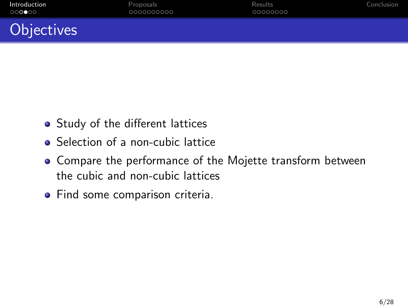# **Objectives**

- Study of the different lattices
- Selection of a non-cubic lattice
- Compare the performance of the Mojette transform between the cubic and non-cubic lattices
- Find some comparison criteria.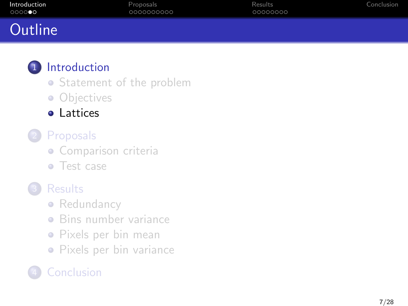<span id="page-6-0"></span>

| Introduction | Proposals  | Results  | Conclusion |
|--------------|------------|----------|------------|
| 000000       | 0000000000 | 00000000 |            |
| Outline      |            |          |            |

- [Statement of the problem](#page-2-0)
- [Objectives](#page-4-0)
- [Lattices](#page-6-0)
- **[Proposals](#page-8-0)** 
	- **·** [Comparison criteria](#page-8-0)
	- [Test case](#page-13-0)
- **[Results](#page-18-0)** 
	- [Redundancy](#page-18-0)
	- [Bins number variance](#page-20-0)
	- [Pixels per bin mean](#page-22-0)
	- [Pixels per bin variance](#page-24-0)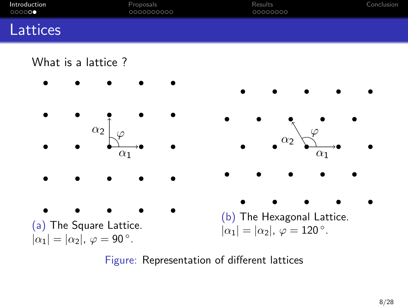| Introduction | Proposals  | Results  | Conclusion |
|--------------|------------|----------|------------|
| 000000       | 0000000000 | 00000000 |            |
| Lattices     |            |          |            |

#### What is a lattice ?



Figure: Representation of different lattices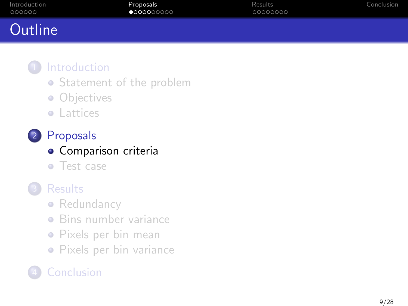<span id="page-8-0"></span>

| Introduction | Proposals           | Results  | Conclusion |
|--------------|---------------------|----------|------------|
| 000000       | $\bullet$ 000000000 | 00000000 |            |
| Outline      |                     |          |            |

- [Statement of the problem](#page-2-0)
- **·** [Objectives](#page-4-0)
- **•** [Lattices](#page-6-0)
- 2 [Proposals](#page-8-0)
	- **·** [Comparison criteria](#page-8-0)
	- [Test case](#page-13-0)
- **[Results](#page-18-0)** 
	- [Redundancy](#page-18-0)
	- [Bins number variance](#page-20-0)
	- [Pixels per bin mean](#page-22-0)
	- **•** [Pixels per bin variance](#page-24-0)

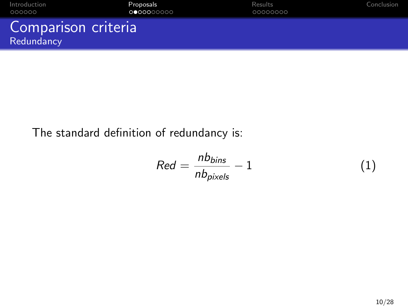| Introduction                      | Proposals  | Results  | Conclusion |
|-----------------------------------|------------|----------|------------|
| 000000                            | 0000000000 | 00000000 |            |
| Comparison criteria<br>Redundancy |            |          |            |

# The standard definition of redundancy is:

$$
Red = \frac{nb_{bins}}{nb_{pixels}} - 1
$$
 (1)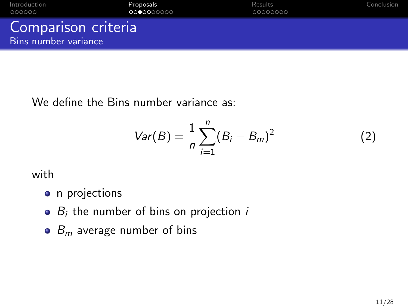| Introduction                                | Proposals  | Results  | Conclusion |
|---------------------------------------------|------------|----------|------------|
| 000000                                      | 0000000000 | 00000000 |            |
| Comparison criteria<br>Bins number variance |            |          |            |

We define the Bins number variance as:

$$
Var(B) = \frac{1}{n} \sum_{i=1}^{n} (B_i - B_m)^2
$$
 (2)

with

- n projections
- $\bullet$   $B_i$  the number of bins on projection  $i$
- $\bullet$  B<sub>m</sub> average number of bins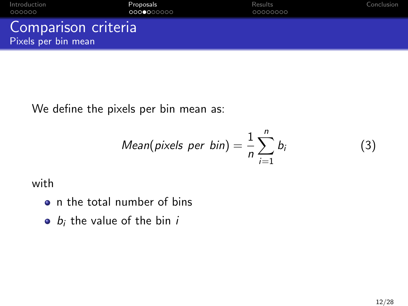| Introduction                               | Proposals  | Results  | Conclusion |
|--------------------------------------------|------------|----------|------------|
| 000000                                     | 0000000000 | 00000000 |            |
| Comparison criteria<br>Pixels per bin mean |            |          |            |

We define the pixels per bin mean as:

Mean(pixels per bin) = 
$$
\frac{1}{n} \sum_{i=1}^{n} b_i
$$

with

- n the total number of bins
- $\bullet$  b<sub>i</sub> the value of the bin i

 $(3)$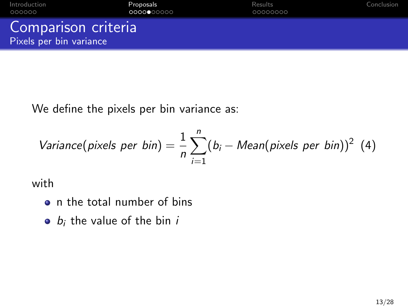| Introduction                                   | Proposals  | Results  | Conclusion |
|------------------------------------------------|------------|----------|------------|
| 000000                                         | 0000000000 | 00000000 |            |
| Comparison criteria<br>Pixels per bin variance |            |          |            |

We define the pixels per bin variance as:

Variance(pixels per bin) = 
$$
\frac{1}{n} \sum_{i=1}^{n} (b_i - Mean(pixels per bin))^2
$$
 (4)

with

- n the total number of bins
- $\bullet$  b<sub>i</sub> the value of the bin i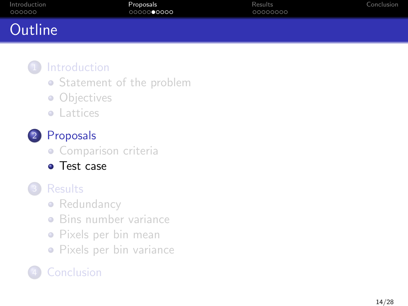<span id="page-13-0"></span>

| Introduction | <b>Proposals</b> | Results  | Conclusion |
|--------------|------------------|----------|------------|
| 000000       | 0000000000       | 00000000 |            |
| Outline      |                  |          |            |

- [Statement of the problem](#page-2-0)
- [Objectives](#page-4-0)
- **•** [Lattices](#page-6-0)

# 2 [Proposals](#page-8-0)

- **·** [Comparison criteria](#page-8-0)
- [Test case](#page-13-0)

# **[Results](#page-18-0)**

- [Redundancy](#page-18-0)
- [Bins number variance](#page-20-0)
- [Pixels per bin mean](#page-22-0)
- [Pixels per bin variance](#page-24-0)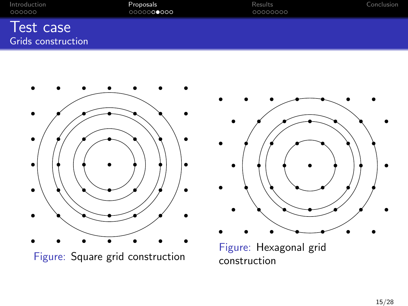| Introduction                           | Proposals  | Results  | Conclusion |
|----------------------------------------|------------|----------|------------|
| 000000                                 | 0000000000 | 00000000 |            |
| Test case<br><b>Grids construction</b> |            |          |            |



Figure: Square grid construction



Figure: Hexagonal grid construction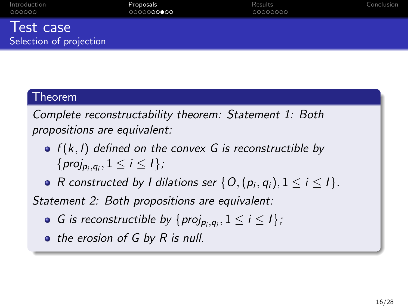| Introduction |  |
|--------------|--|
| 000000       |  |

[Introduction](#page-2-0) [Proposals](#page-8-0) [Results](#page-18-0) [Conclusion](#page-26-0) 0000000000

00000000

#### Test case Selection of projection

#### Theorem

Complete reconstructability theorem: Statement 1: Both propositions are equivalent:

- $\bullet$  f(k, l) defined on the convex G is reconstructible by  $\{proj_{p_i,q_i}, 1 \leq i \leq l\},\$
- R constructed by I dilations ser  $\{O,(p_i,q_i), 1\leq i\leq l\}$ .

Statement 2: Both propositions are equivalent:

- G is reconstructible by  $\{proj_{p_i,q_i}, 1 \leq i \leq l\}$ ;
- the erosion of G by R is null.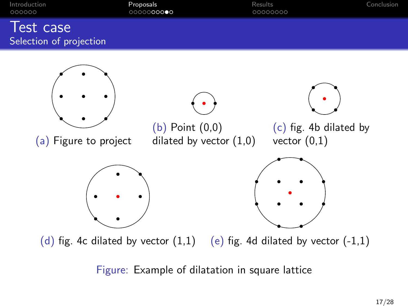| Introduction            | Proposals          | Results  | Conclusion |
|-------------------------|--------------------|----------|------------|
| 000000                  | 00000 <b>00000</b> | 00000000 |            |
|                         |                    |          |            |
| Test case               |                    |          |            |
| Selection of projection |                    |          |            |



(d) fig. 4c dilated by vector  $(1,1)$  (e) fig. 4d dilated by vector  $(-1,1)$ 

Figure: Example of dilatation in square lattice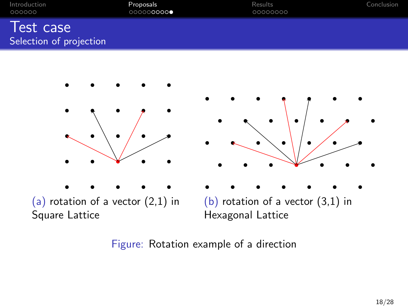| Introduction                         | Proposals  | Results  | Conclusion |
|--------------------------------------|------------|----------|------------|
| 000000                               | 0000000000 | 00000000 |            |
| Test case<br>Selection of projection |            |          |            |



Figure: Rotation example of a direction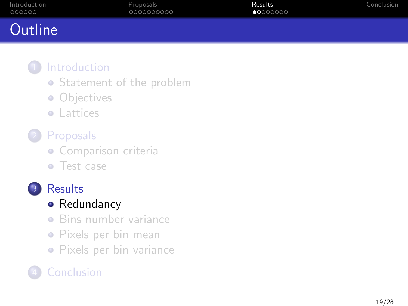<span id="page-18-0"></span>

| Introduction<br>000000 | Proposals<br>0000000000 | Results<br>$\bullet$ 0000000 | Conclusion |
|------------------------|-------------------------|------------------------------|------------|
| Outline                |                         |                              |            |
|                        |                         |                              |            |

- [Statement of the problem](#page-2-0)
- [Objectives](#page-4-0)
- **•** [Lattices](#page-6-0)
- **[Proposals](#page-8-0)** 
	- **·** [Comparison criteria](#page-8-0)
	- [Test case](#page-13-0)



# • [Redundancy](#page-18-0)

- **•** [Bins number variance](#page-20-0)
- [Pixels per bin mean](#page-22-0)
- [Pixels per bin variance](#page-24-0)

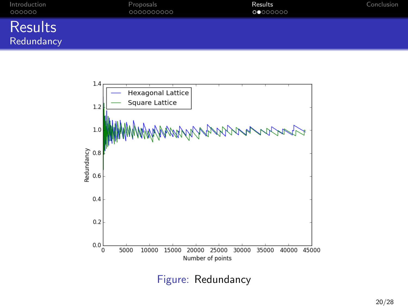| Introduction | Proposals  | Results          | Conclusion |
|--------------|------------|------------------|------------|
| 000000       | 0000000000 | <b>OC</b> OOOOOO |            |
| $D_{\text{n$ |            |                  |            |





Figure: Redundancy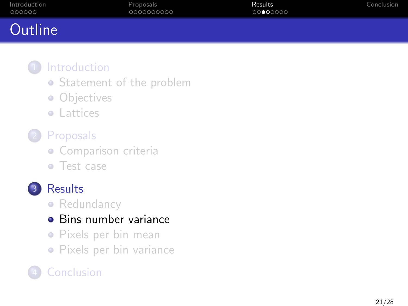<span id="page-20-0"></span>

| Introduction | Proposals  | Results  | Conclusion |
|--------------|------------|----------|------------|
| 000000       | 0000000000 | 00000000 |            |
| Outline      |            |          |            |

- [Statement of the problem](#page-2-0)
- [Objectives](#page-4-0)
- **•** [Lattices](#page-6-0)
- **[Proposals](#page-8-0)** 
	- **·** [Comparison criteria](#page-8-0)
	- [Test case](#page-13-0)



• [Redundancy](#page-18-0)

## • [Bins number variance](#page-20-0)

- [Pixels per bin mean](#page-22-0)
- [Pixels per bin variance](#page-24-0)

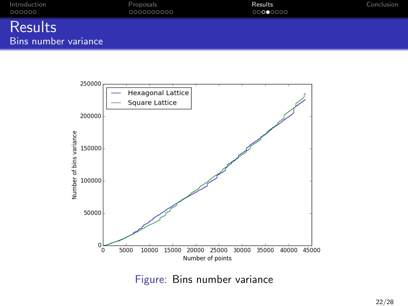| Introduction                           | Proposals  | Results  | Conclusion |
|----------------------------------------|------------|----------|------------|
| 000000                                 | 0000000000 | 00000000 |            |
| <b>Results</b><br>Bins number variance |            |          |            |



Figure: Bins number variance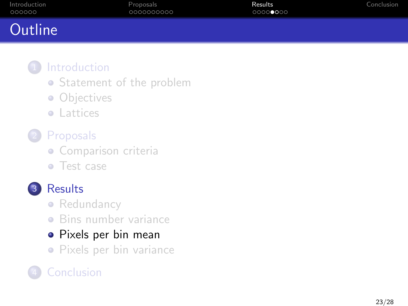<span id="page-22-0"></span>

| Introduction | Proposals  | Results  | Conclusion |
|--------------|------------|----------|------------|
| 000000       | 0000000000 | 00000000 |            |
| Outline      |            |          |            |

- [Statement of the problem](#page-2-0)
- [Objectives](#page-4-0)
- **•** [Lattices](#page-6-0)
- **[Proposals](#page-8-0)** 
	- **·** [Comparison criteria](#page-8-0)
	- [Test case](#page-13-0)



## 3 [Results](#page-18-0)

- [Redundancy](#page-18-0)
- [Bins number variance](#page-20-0)

# [Pixels per bin mean](#page-22-0)

[Pixels per bin variance](#page-24-0)

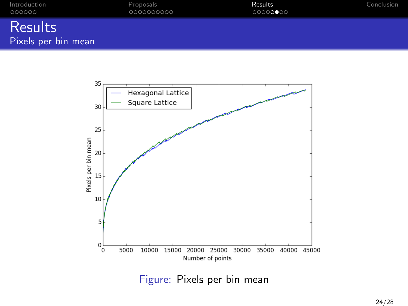| Introduction                   | Proposals  | Results  | Conclusion |
|--------------------------------|------------|----------|------------|
| 000000                         | 0000000000 | 00000000 |            |
| Results<br>Pixels per bin mean |            |          |            |



Figure: Pixels per bin mean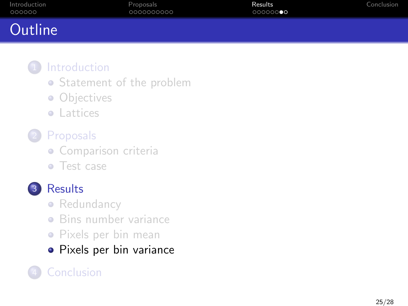<span id="page-24-0"></span>

| Introduction | <b>Proposals</b> | Results  | Conclusion |
|--------------|------------------|----------|------------|
| 000000       | 0000000000       | 00000000 |            |
| Outline      |                  |          |            |

- [Statement of the problem](#page-2-0)
- [Objectives](#page-4-0)
- **•** [Lattices](#page-6-0)
- **[Proposals](#page-8-0)** 
	- **·** [Comparison criteria](#page-8-0)
	- [Test case](#page-13-0)



## 3 [Results](#page-18-0)

- [Redundancy](#page-18-0)
- [Bins number variance](#page-20-0)
- [Pixels per bin mean](#page-22-0)
- [Pixels per bin variance](#page-24-0)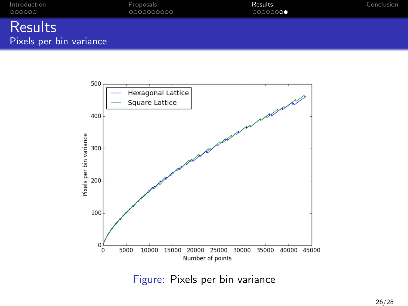| Introduction<br>000000  | Proposals<br>0000000000 | Results<br>00000000 | Conclusion |
|-------------------------|-------------------------|---------------------|------------|
| <b>Results</b>          |                         |                     |            |
| Pixels per bin variance |                         |                     |            |



Figure: Pixels per bin variance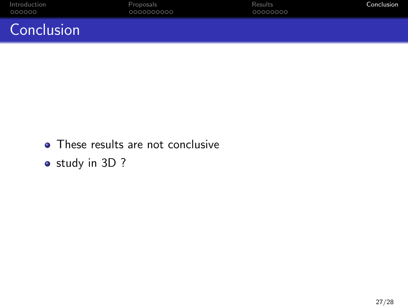<span id="page-26-0"></span>

| Introduction | Proposals  | Results  | Conclusion |
|--------------|------------|----------|------------|
| 000000       | 0000000000 | 00000000 |            |
| Conclusion   |            |          |            |

- These results are not conclusive
- study in 3D ?